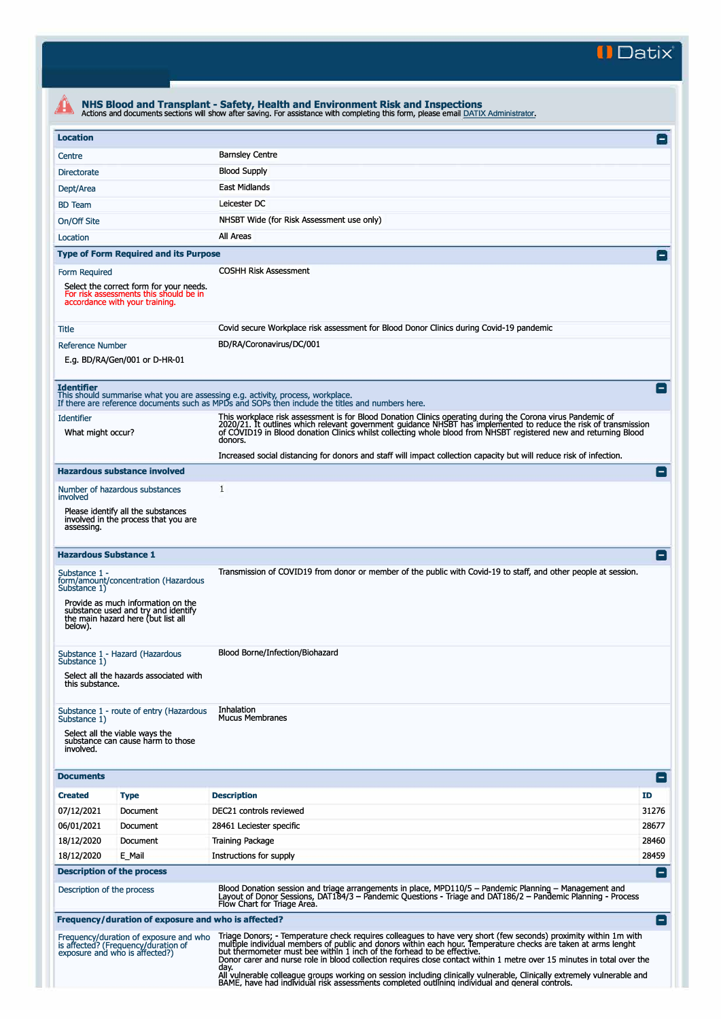**II Datix"** 

| <b>Location</b>                                                                                                                      |                                                                                                                                                         |                                                                                                                                                                                                                                                                                                                                                               | E               |
|--------------------------------------------------------------------------------------------------------------------------------------|---------------------------------------------------------------------------------------------------------------------------------------------------------|---------------------------------------------------------------------------------------------------------------------------------------------------------------------------------------------------------------------------------------------------------------------------------------------------------------------------------------------------------------|-----------------|
|                                                                                                                                      |                                                                                                                                                         | <b>Barnsley Centre</b>                                                                                                                                                                                                                                                                                                                                        |                 |
| Centre                                                                                                                               |                                                                                                                                                         | <b>Blood Supply</b>                                                                                                                                                                                                                                                                                                                                           |                 |
| <b>Directorate</b>                                                                                                                   |                                                                                                                                                         | East Midlands                                                                                                                                                                                                                                                                                                                                                 |                 |
| Dept/Area                                                                                                                            |                                                                                                                                                         | Leicester DC                                                                                                                                                                                                                                                                                                                                                  |                 |
| <b>BD</b> Team                                                                                                                       |                                                                                                                                                         |                                                                                                                                                                                                                                                                                                                                                               |                 |
| On/Off Site                                                                                                                          |                                                                                                                                                         | NHSBT Wide (for Risk Assessment use only)                                                                                                                                                                                                                                                                                                                     |                 |
| Location                                                                                                                             |                                                                                                                                                         | All Areas                                                                                                                                                                                                                                                                                                                                                     |                 |
|                                                                                                                                      | <b>Type of Form Required and its Purpose</b>                                                                                                            |                                                                                                                                                                                                                                                                                                                                                               |                 |
| Form Required<br>Select the correct form for your needs.<br>For risk assessments this should be in<br>accordance with your training. |                                                                                                                                                         | <b>COSHH Risk Assessment</b>                                                                                                                                                                                                                                                                                                                                  |                 |
| Title                                                                                                                                |                                                                                                                                                         | Covid secure Workplace risk assessment for Blood Donor Clinics during Covid-19 pandemic                                                                                                                                                                                                                                                                       |                 |
| <b>Reference Number</b>                                                                                                              | E.g. BD/RA/Gen/001 or D-HR-01                                                                                                                           | BD/RA/Coronavirus/DC/001                                                                                                                                                                                                                                                                                                                                      |                 |
| <b>Identifier</b>                                                                                                                    |                                                                                                                                                         | This should summarise what you are assessing e.g. activity, process, workplace.<br>If there are reference documents such as MPDs and SOPs then include the titles and numbers here.                                                                                                                                                                           | $\vert - \vert$ |
| <b>Identifier</b><br>What might occur?                                                                                               |                                                                                                                                                         | This workplace risk assessment is for Blood Donation Clinics operating during the Corona virus Pandemic of<br>2020/21. It outlines which relevant government guidance NHSBT has implemented to reduce the risk of transmission<br>of COVID19 in Blood donation Clinics whilst collecting whole blood from NHSBT registered new and returning Blood<br>donors. |                 |
|                                                                                                                                      |                                                                                                                                                         | Increased social distancing for donors and staff will impact collection capacity but will reduce risk of infection.                                                                                                                                                                                                                                           |                 |
|                                                                                                                                      | <b>Hazardous substance involved</b>                                                                                                                     |                                                                                                                                                                                                                                                                                                                                                               | E               |
| Number of hazardous substances<br>involved                                                                                           |                                                                                                                                                         | 1                                                                                                                                                                                                                                                                                                                                                             |                 |
| assessing.                                                                                                                           | Please identify all the substances<br>involved in the process that you are                                                                              |                                                                                                                                                                                                                                                                                                                                                               |                 |
| <b>Hazardous Substance 1</b>                                                                                                         |                                                                                                                                                         |                                                                                                                                                                                                                                                                                                                                                               | Ξ               |
| Substance 1 -<br>Substance 1)<br>below).                                                                                             | form/amount/concentration (Hazardous<br>Provide as much information on the<br>substance used and try and identify<br>the main hazard here (but list all | Transmission of COVID19 from donor or member of the public with Covid-19 to staff, and other people at session.                                                                                                                                                                                                                                               |                 |
| Substance 1)<br>this substance.                                                                                                      | Substance 1 - Hazard (Hazardous<br>Select all the hazards associated with                                                                               | Blood Borne/Infection/Biohazard                                                                                                                                                                                                                                                                                                                               |                 |
| Substance 1)<br>involved.                                                                                                            | Substance 1 - route of entry (Hazardous<br>Select all the viable ways the<br>substance can cause harm to those                                          | Inhalation<br><b>Mucus Membranes</b>                                                                                                                                                                                                                                                                                                                          |                 |
| <b>Documents</b>                                                                                                                     |                                                                                                                                                         |                                                                                                                                                                                                                                                                                                                                                               | E               |
| <b>Created</b>                                                                                                                       | <b>Type</b>                                                                                                                                             | <b>Description</b>                                                                                                                                                                                                                                                                                                                                            | <b>ID</b>       |
| 07/12/2021                                                                                                                           | Document                                                                                                                                                | DEC21 controls reviewed                                                                                                                                                                                                                                                                                                                                       | 31276           |
| 06/01/2021                                                                                                                           | Document                                                                                                                                                | 28461 Leciester specific                                                                                                                                                                                                                                                                                                                                      | 28677           |
| 18/12/2020                                                                                                                           | Document                                                                                                                                                | <b>Training Package</b>                                                                                                                                                                                                                                                                                                                                       | 28460           |
| 18/12/2020                                                                                                                           | E_Mail                                                                                                                                                  | Instructions for supply                                                                                                                                                                                                                                                                                                                                       | 28459           |
| <b>Description of the process</b>                                                                                                    |                                                                                                                                                         |                                                                                                                                                                                                                                                                                                                                                               | $\equiv$        |
| Description of the process                                                                                                           |                                                                                                                                                         | Blood Donation session and triage arrangements in place, MPD110/5 - Pandemic Planning - Management and<br>Layout of Donor Sessions, DAT184/3 – Pandemic Questions - Triage and DAT186/2 – Pandemic Planning - Process<br>Flow Chart for Triage Area.                                                                                                          |                 |
|                                                                                                                                      | Frequency/duration of exposure and who is affected?                                                                                                     |                                                                                                                                                                                                                                                                                                                                                               | l –             |
|                                                                                                                                      |                                                                                                                                                         |                                                                                                                                                                                                                                                                                                                                                               |                 |